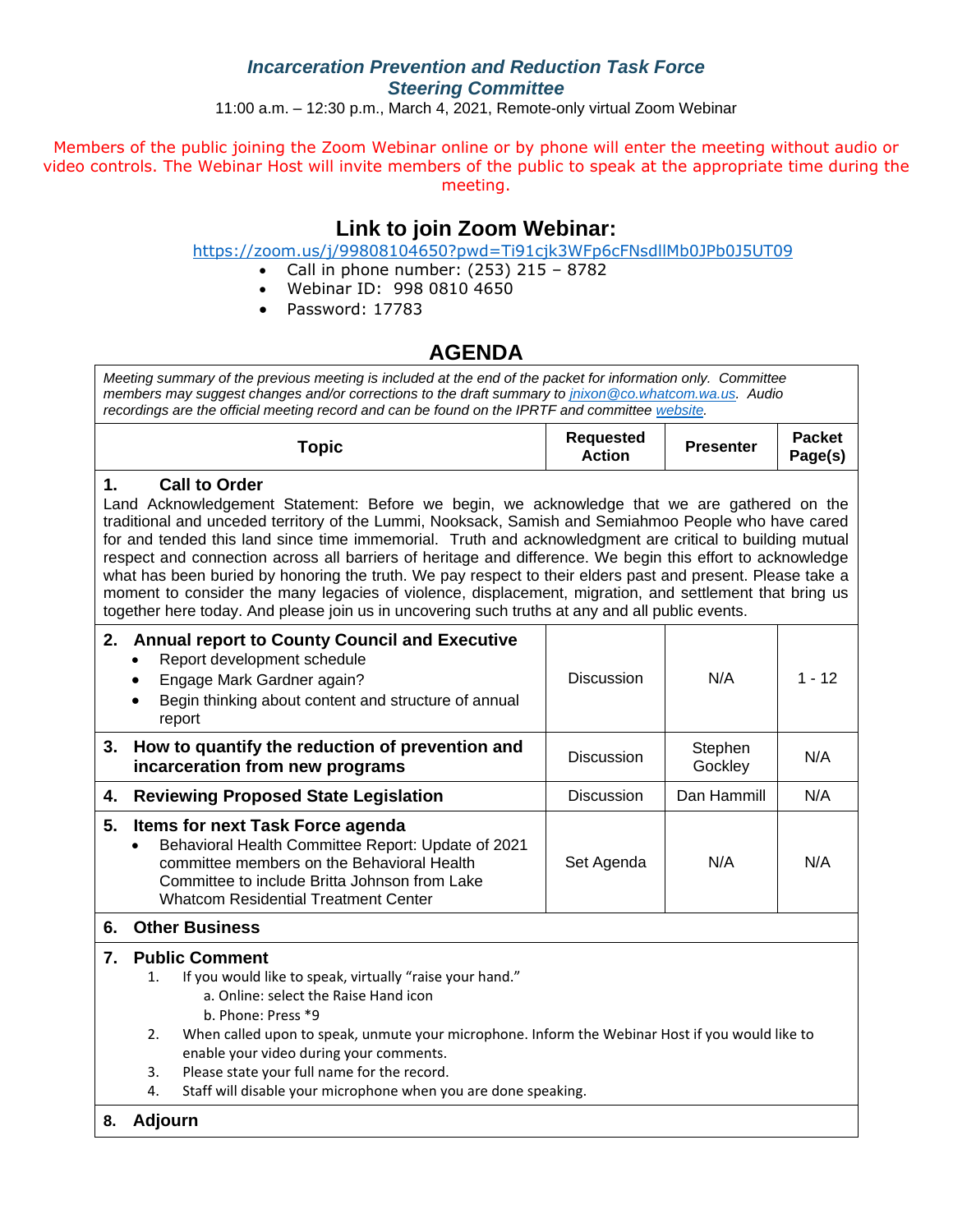## *Incarceration Prevention and Reduction Task Force Steering Committee*

11:00 a.m. – 12:30 p.m., March 4, 2021, Remote-only virtual Zoom Webinar

Members of the public joining the Zoom Webinar online or by phone will enter the meeting without audio or video controls. The Webinar Host will invite members of the public to speak at the appropriate time during the meeting.

## **Link to join Zoom Webinar:**

<https://zoom.us/j/99808104650?pwd=Ti91cjk3WFp6cFNsdllMb0JPb0J5UT09>

- Call in phone number:  $(253)$  215 8782
- Webinar ID: 998 0810 4650
- Password: 17783

## **AGENDA**

| Meeting summary of the previous meeting is included at the end of the packet for information only. Committee<br>members may suggest changes and/or corrections to the draft summary to jnixon @co.whatcom.wa.us. Audio<br>recordings are the official meeting record and can be found on the IPRTF and committee website.                                                                                                                                                                                                                                                                                                                                                                                                                                                               |                                   |                    |                          |  |  |  |  |
|-----------------------------------------------------------------------------------------------------------------------------------------------------------------------------------------------------------------------------------------------------------------------------------------------------------------------------------------------------------------------------------------------------------------------------------------------------------------------------------------------------------------------------------------------------------------------------------------------------------------------------------------------------------------------------------------------------------------------------------------------------------------------------------------|-----------------------------------|--------------------|--------------------------|--|--|--|--|
| <b>Topic</b>                                                                                                                                                                                                                                                                                                                                                                                                                                                                                                                                                                                                                                                                                                                                                                            | <b>Requested</b><br><b>Action</b> | <b>Presenter</b>   | <b>Packet</b><br>Page(s) |  |  |  |  |
| 1.<br><b>Call to Order</b><br>Land Acknowledgement Statement: Before we begin, we acknowledge that we are gathered on the<br>traditional and unceded territory of the Lummi, Nooksack, Samish and Semiahmoo People who have cared<br>for and tended this land since time immemorial. Truth and acknowledgment are critical to building mutual<br>respect and connection across all barriers of heritage and difference. We begin this effort to acknowledge<br>what has been buried by honoring the truth. We pay respect to their elders past and present. Please take a<br>moment to consider the many legacies of violence, displacement, migration, and settlement that bring us<br>together here today. And please join us in uncovering such truths at any and all public events. |                                   |                    |                          |  |  |  |  |
| 2. Annual report to County Council and Executive<br>Report development schedule<br>Engage Mark Gardner again?<br>Begin thinking about content and structure of annual<br>report                                                                                                                                                                                                                                                                                                                                                                                                                                                                                                                                                                                                         | <b>Discussion</b>                 | N/A                | $1 - 12$                 |  |  |  |  |
| How to quantify the reduction of prevention and<br>3.<br>incarceration from new programs                                                                                                                                                                                                                                                                                                                                                                                                                                                                                                                                                                                                                                                                                                | <b>Discussion</b>                 | Stephen<br>Gockley | N/A                      |  |  |  |  |
| <b>Reviewing Proposed State Legislation</b><br>4.                                                                                                                                                                                                                                                                                                                                                                                                                                                                                                                                                                                                                                                                                                                                       | <b>Discussion</b>                 | Dan Hammill        | N/A                      |  |  |  |  |
| 5.<br><b>Items for next Task Force agenda</b><br>Behavioral Health Committee Report: Update of 2021<br>committee members on the Behavioral Health<br>Committee to include Britta Johnson from Lake<br><b>Whatcom Residential Treatment Center</b>                                                                                                                                                                                                                                                                                                                                                                                                                                                                                                                                       | Set Agenda                        | N/A                | N/A                      |  |  |  |  |
| <b>Other Business</b><br>6.                                                                                                                                                                                                                                                                                                                                                                                                                                                                                                                                                                                                                                                                                                                                                             |                                   |                    |                          |  |  |  |  |
| <b>Public Comment</b><br>7.<br>If you would like to speak, virtually "raise your hand."<br>1.<br>a. Online: select the Raise Hand icon<br>b. Phone: Press *9<br>When called upon to speak, unmute your microphone. Inform the Webinar Host if you would like to<br>2.<br>enable your video during your comments.<br>Please state your full name for the record.<br>3.<br>Staff will disable your microphone when you are done speaking.<br>4.                                                                                                                                                                                                                                                                                                                                           |                                   |                    |                          |  |  |  |  |
| Adjourn<br>8.                                                                                                                                                                                                                                                                                                                                                                                                                                                                                                                                                                                                                                                                                                                                                                           |                                   |                    |                          |  |  |  |  |